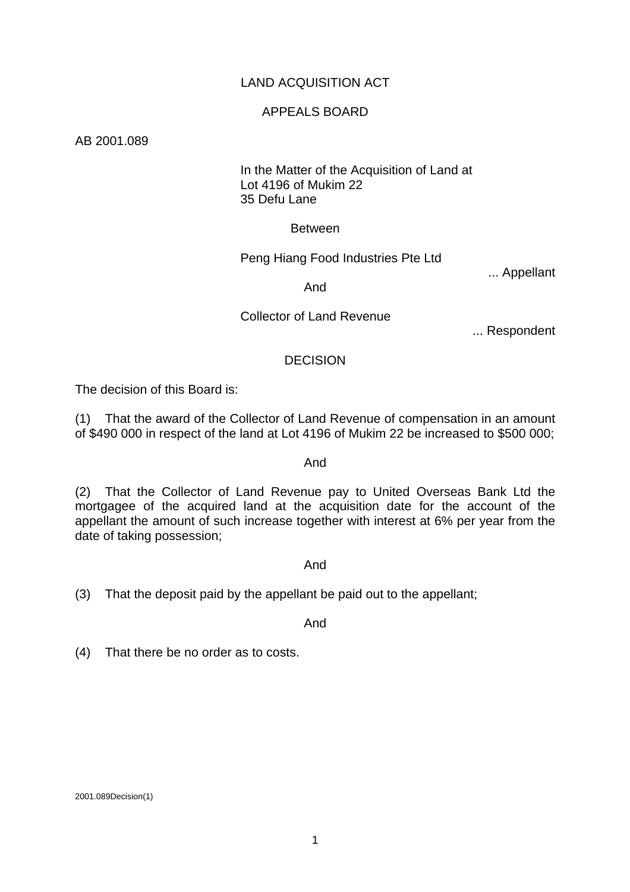## LAND ACQUISITION ACT

## APPEALS BOARD

AB 2001.089

## In the Matter of the Acquisition of Land at Lot 4196 of Mukim 22 35 Defu Lane

### Between

## Peng Hiang Food Industries Pte Ltd

... Appellant

### And

## Collector of Land Revenue

... Respondent

### **DECISION**

The decision of this Board is:

(1) That the award of the Collector of Land Revenue of compensation in an amount of \$490 000 in respect of the land at Lot 4196 of Mukim 22 be increased to \$500 000;

### And

(2) That the Collector of Land Revenue pay to United Overseas Bank Ltd the mortgagee of the acquired land at the acquisition date for the account of the appellant the amount of such increase together with interest at 6% per year from the date of taking possession;

### And

(3) That the deposit paid by the appellant be paid out to the appellant;

And

(4) That there be no order as to costs.

2001.089Decision(1)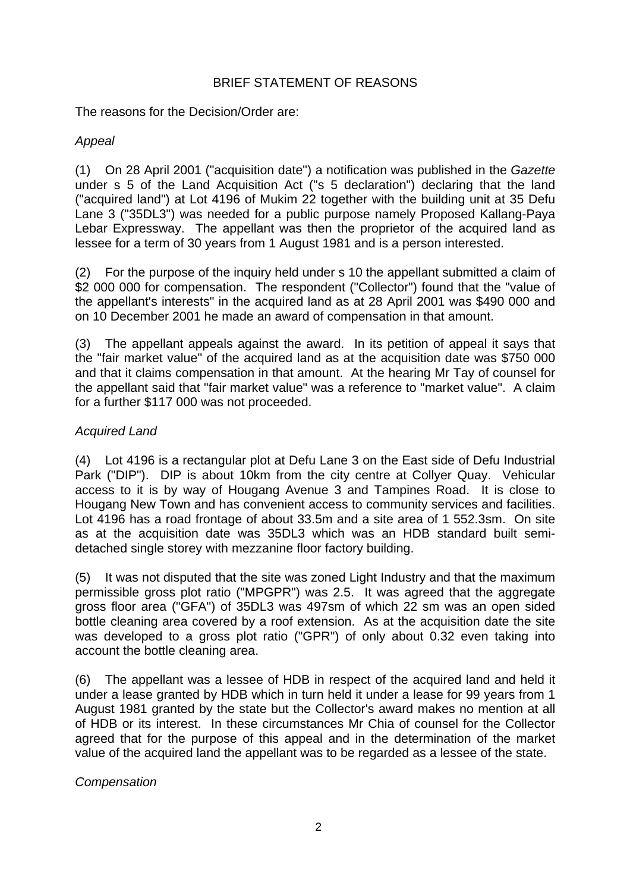# BRIEF STATEMENT OF REASONS

The reasons for the Decision/Order are:

# *Appeal*

(1) On 28 April 2001 ("acquisition date") a notification was published in the *Gazette* under s 5 of the Land Acquisition Act ("s 5 declaration") declaring that the land ("acquired land") at Lot 4196 of Mukim 22 together with the building unit at 35 Defu Lane 3 ("35DL3") was needed for a public purpose namely Proposed Kallang-Paya Lebar Expressway. The appellant was then the proprietor of the acquired land as lessee for a term of 30 years from 1 August 1981 and is a person interested.

(2) For the purpose of the inquiry held under s 10 the appellant submitted a claim of \$2 000 000 for compensation. The respondent ("Collector") found that the "value of the appellant's interests" in the acquired land as at 28 April 2001 was \$490 000 and on 10 December 2001 he made an award of compensation in that amount.

(3) The appellant appeals against the award. In its petition of appeal it says that the "fair market value" of the acquired land as at the acquisition date was \$750 000 and that it claims compensation in that amount. At the hearing Mr Tay of counsel for the appellant said that "fair market value" was a reference to "market value". A claim for a further \$117 000 was not proceeded.

# *Acquired Land*

(4) Lot 4196 is a rectangular plot at Defu Lane 3 on the East side of Defu Industrial Park ("DIP"). DIP is about 10km from the city centre at Collyer Quay. Vehicular access to it is by way of Hougang Avenue 3 and Tampines Road. It is close to Hougang New Town and has convenient access to community services and facilities. Lot 4196 has a road frontage of about 33.5m and a site area of 1 552.3sm. On site as at the acquisition date was 35DL3 which was an HDB standard built semidetached single storey with mezzanine floor factory building.

(5) It was not disputed that the site was zoned Light Industry and that the maximum permissible gross plot ratio ("MPGPR") was 2.5. It was agreed that the aggregate gross floor area ("GFA") of 35DL3 was 497sm of which 22 sm was an open sided bottle cleaning area covered by a roof extension. As at the acquisition date the site was developed to a gross plot ratio ("GPR") of only about 0.32 even taking into account the bottle cleaning area.

(6) The appellant was a lessee of HDB in respect of the acquired land and held it under a lease granted by HDB which in turn held it under a lease for 99 years from 1 August 1981 granted by the state but the Collector's award makes no mention at all of HDB or its interest. In these circumstances Mr Chia of counsel for the Collector agreed that for the purpose of this appeal and in the determination of the market value of the acquired land the appellant was to be regarded as a lessee of the state.

*Compensation*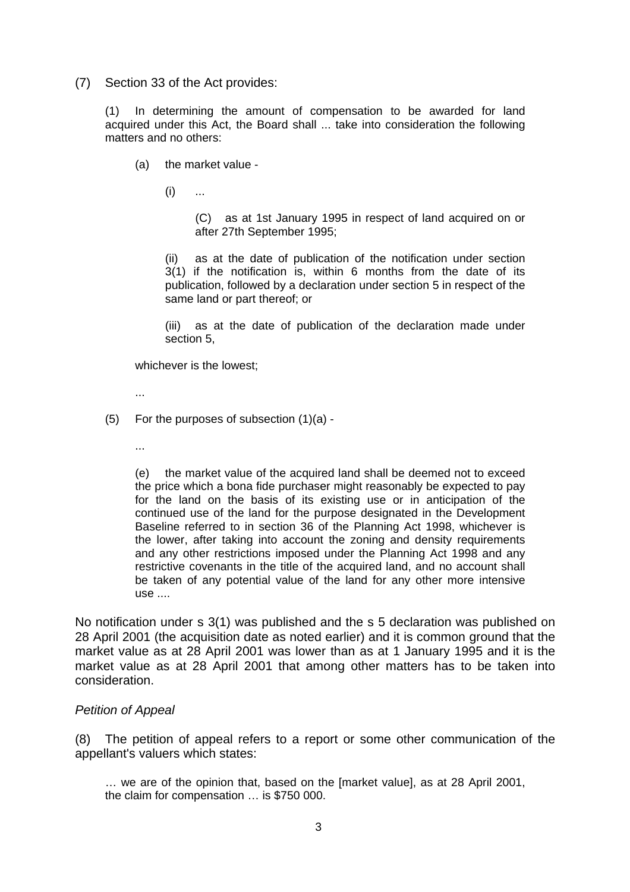(7) Section 33 of the Act provides:

(1) In determining the amount of compensation to be awarded for land acquired under this Act, the Board shall ... take into consideration the following matters and no others:

- (a) the market value
	- $(i)$  ...

(C) as at 1st January 1995 in respect of land acquired on or after 27th September 1995;

(ii) as at the date of publication of the notification under section 3(1) if the notification is, within 6 months from the date of its publication, followed by a declaration under section 5 in respect of the same land or part thereof; or

(iii) as at the date of publication of the declaration made under section 5,

whichever is the lowest;

...

- (5) For the purposes of subsection (1)(a)
	- ...

(e) the market value of the acquired land shall be deemed not to exceed the price which a bona fide purchaser might reasonably be expected to pay for the land on the basis of its existing use or in anticipation of the continued use of the land for the purpose designated in the Development Baseline referred to in section 36 of the Planning Act 1998, whichever is the lower, after taking into account the zoning and density requirements and any other restrictions imposed under the Planning Act 1998 and any restrictive covenants in the title of the acquired land, and no account shall be taken of any potential value of the land for any other more intensive use ....

No notification under s 3(1) was published and the s 5 declaration was published on 28 April 2001 (the acquisition date as noted earlier) and it is common ground that the market value as at 28 April 2001 was lower than as at 1 January 1995 and it is the market value as at 28 April 2001 that among other matters has to be taken into consideration.

### *Petition of Appeal*

(8) The petition of appeal refers to a report or some other communication of the appellant's valuers which states:

… we are of the opinion that, based on the [market value], as at 28 April 2001, the claim for compensation … is \$750 000.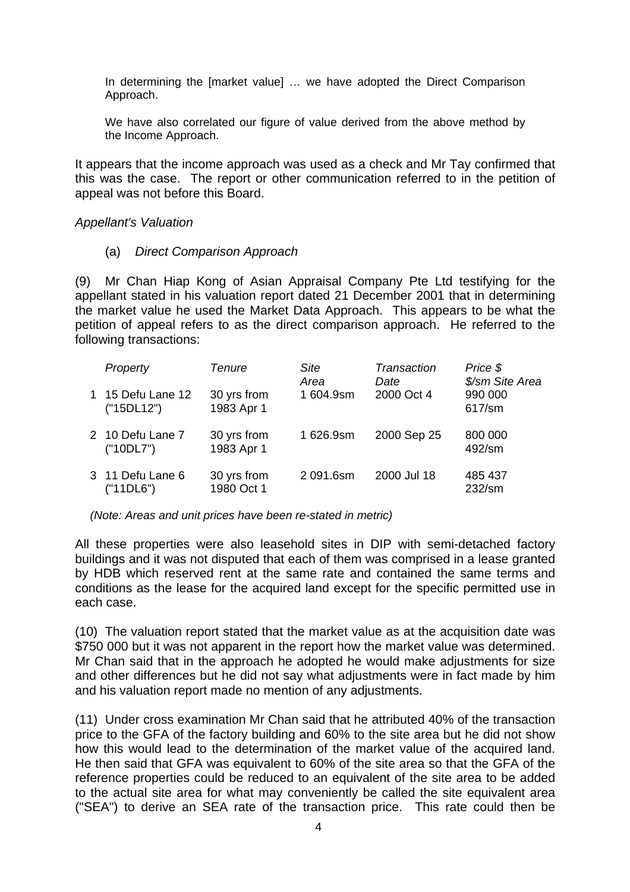In determining the [market value] … we have adopted the Direct Comparison Approach.

We have also correlated our figure of value derived from the above method by the Income Approach.

It appears that the income approach was used as a check and Mr Tay confirmed that this was the case. The report or other communication referred to in the petition of appeal was not before this Board.

#### *Appellant's Valuation*

(a) *Direct Comparison Approach* 

(9) Mr Chan Hiap Kong of Asian Appraisal Company Pte Ltd testifying for the appellant stated in his valuation report dated 21 December 2001 that in determining the market value he used the Market Data Approach. This appears to be what the petition of appeal refers to as the direct comparison approach. He referred to the following transactions:

| Property                      | Tenure                    | <b>Site</b><br>Area | Transaction<br>Date | Price \$<br>\$/sm Site Area |
|-------------------------------|---------------------------|---------------------|---------------------|-----------------------------|
| 15 Defu Lane 12<br>("15DL12") | 30 yrs from<br>1983 Apr 1 | 1604.9sm            | 2000 Oct 4          | 990 000<br>617/sm           |
| 2 10 Defu Lane 7<br>("10DL7") | 30 yrs from<br>1983 Apr 1 | 1626.9sm            | 2000 Sep 25         | 800 000<br>492/sm           |
| 3 11 Defu Lane 6<br>("11DL6") | 30 yrs from<br>1980 Oct 1 | 2 091.6sm           | 2000 Jul 18         | 485 437<br>232/sm           |

*(Note: Areas and unit prices have been re-stated in metric)* 

All these properties were also leasehold sites in DIP with semi-detached factory buildings and it was not disputed that each of them was comprised in a lease granted by HDB which reserved rent at the same rate and contained the same terms and conditions as the lease for the acquired land except for the specific permitted use in each case.

(10) The valuation report stated that the market value as at the acquisition date was \$750 000 but it was not apparent in the report how the market value was determined. Mr Chan said that in the approach he adopted he would make adjustments for size and other differences but he did not say what adjustments were in fact made by him and his valuation report made no mention of any adjustments.

(11) Under cross examination Mr Chan said that he attributed 40% of the transaction price to the GFA of the factory building and 60% to the site area but he did not show how this would lead to the determination of the market value of the acquired land. He then said that GFA was equivalent to 60% of the site area so that the GFA of the reference properties could be reduced to an equivalent of the site area to be added to the actual site area for what may conveniently be called the site equivalent area ("SEA") to derive an SEA rate of the transaction price. This rate could then be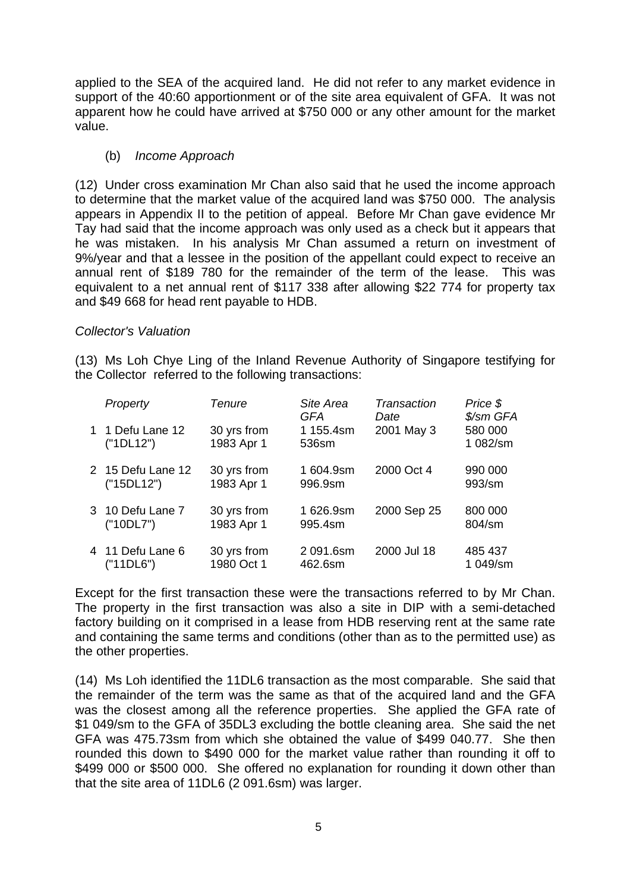applied to the SEA of the acquired land. He did not refer to any market evidence in support of the 40:60 apportionment or of the site area equivalent of GFA. It was not apparent how he could have arrived at \$750 000 or any other amount for the market value.

## (b) *Income Approach*

(12) Under cross examination Mr Chan also said that he used the income approach to determine that the market value of the acquired land was \$750 000. The analysis appears in Appendix II to the petition of appeal. Before Mr Chan gave evidence Mr Tay had said that the income approach was only used as a check but it appears that he was mistaken. In his analysis Mr Chan assumed a return on investment of 9%/year and that a lessee in the position of the appellant could expect to receive an annual rent of \$189 780 for the remainder of the term of the lease. This was equivalent to a net annual rent of \$117 338 after allowing \$22 774 for property tax and \$49 668 for head rent payable to HDB.

### *Collector's Valuation*

(13) Ms Loh Chye Ling of the Inland Revenue Authority of Singapore testifying for the Collector referred to the following transactions:

| Property                        | <b>Tenure</b>             | Site Area<br>GFA     | Transaction<br>Date | Price \$<br>\$/sm GFA |
|---------------------------------|---------------------------|----------------------|---------------------|-----------------------|
| 1 1 Defu Lane 12<br>("1DL12")   | 30 yrs from<br>1983 Apr 1 | 1 155.4sm<br>536sm   | 2001 May 3          | 580 000<br>1 082/sm   |
| 2 15 Defu Lane 12<br>("15DL12") | 30 yrs from<br>1983 Apr 1 | 1604.9sm<br>996.9sm  | 2000 Oct 4          | 990 000<br>993/sm     |
| 3 10 Defu Lane 7<br>("10DL7")   | 30 yrs from<br>1983 Apr 1 | 1626.9sm<br>995.4sm  | 2000 Sep 25         | 800 000<br>804/sm     |
| 4 11 Defu Lane 6<br>("11DL6")   | 30 yrs from<br>1980 Oct 1 | 2 091.6sm<br>462.6sm | 2000 Jul 18         | 485 437<br>1 049/sm   |

Except for the first transaction these were the transactions referred to by Mr Chan. The property in the first transaction was also a site in DIP with a semi-detached factory building on it comprised in a lease from HDB reserving rent at the same rate and containing the same terms and conditions (other than as to the permitted use) as the other properties.

(14) Ms Loh identified the 11DL6 transaction as the most comparable. She said that the remainder of the term was the same as that of the acquired land and the GFA was the closest among all the reference properties. She applied the GFA rate of \$1 049/sm to the GFA of 35DL3 excluding the bottle cleaning area. She said the net GFA was 475.73sm from which she obtained the value of \$499 040.77. She then rounded this down to \$490 000 for the market value rather than rounding it off to \$499 000 or \$500 000. She offered no explanation for rounding it down other than that the site area of 11DL6 (2 091.6sm) was larger.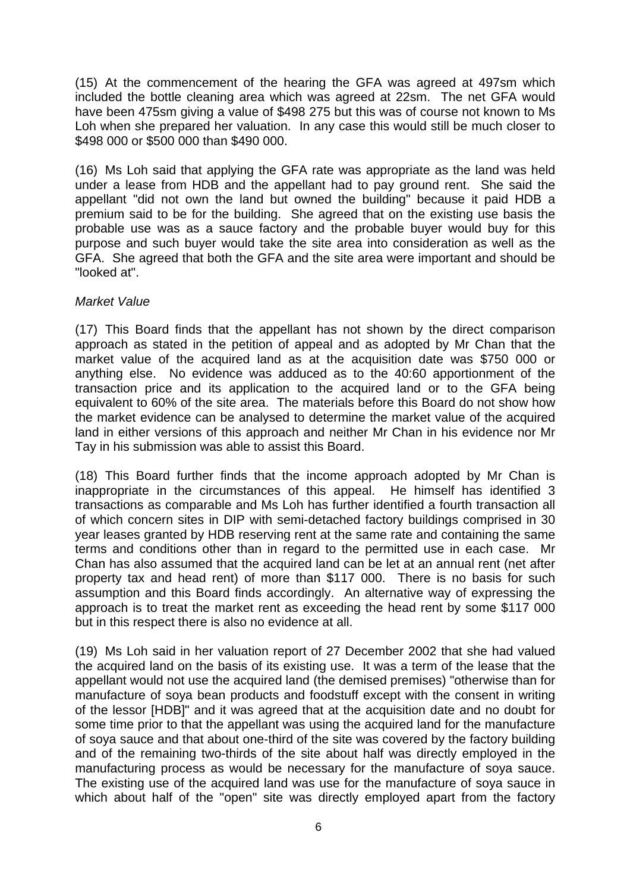(15) At the commencement of the hearing the GFA was agreed at 497sm which included the bottle cleaning area which was agreed at 22sm. The net GFA would have been 475sm giving a value of \$498 275 but this was of course not known to Ms Loh when she prepared her valuation. In any case this would still be much closer to \$498 000 or \$500 000 than \$490 000.

(16) Ms Loh said that applying the GFA rate was appropriate as the land was held under a lease from HDB and the appellant had to pay ground rent. She said the appellant "did not own the land but owned the building" because it paid HDB a premium said to be for the building. She agreed that on the existing use basis the probable use was as a sauce factory and the probable buyer would buy for this purpose and such buyer would take the site area into consideration as well as the GFA. She agreed that both the GFA and the site area were important and should be "looked at".

## *Market Value*

(17) This Board finds that the appellant has not shown by the direct comparison approach as stated in the petition of appeal and as adopted by Mr Chan that the market value of the acquired land as at the acquisition date was \$750 000 or anything else. No evidence was adduced as to the 40:60 apportionment of the transaction price and its application to the acquired land or to the GFA being equivalent to 60% of the site area. The materials before this Board do not show how the market evidence can be analysed to determine the market value of the acquired land in either versions of this approach and neither Mr Chan in his evidence nor Mr Tay in his submission was able to assist this Board.

(18) This Board further finds that the income approach adopted by Mr Chan is inappropriate in the circumstances of this appeal. He himself has identified 3 transactions as comparable and Ms Loh has further identified a fourth transaction all of which concern sites in DIP with semi-detached factory buildings comprised in 30 year leases granted by HDB reserving rent at the same rate and containing the same terms and conditions other than in regard to the permitted use in each case. Mr Chan has also assumed that the acquired land can be let at an annual rent (net after property tax and head rent) of more than \$117 000. There is no basis for such assumption and this Board finds accordingly. An alternative way of expressing the approach is to treat the market rent as exceeding the head rent by some \$117 000 but in this respect there is also no evidence at all.

(19) Ms Loh said in her valuation report of 27 December 2002 that she had valued the acquired land on the basis of its existing use. It was a term of the lease that the appellant would not use the acquired land (the demised premises) "otherwise than for manufacture of soya bean products and foodstuff except with the consent in writing of the lessor [HDB]" and it was agreed that at the acquisition date and no doubt for some time prior to that the appellant was using the acquired land for the manufacture of soya sauce and that about one-third of the site was covered by the factory building and of the remaining two-thirds of the site about half was directly employed in the manufacturing process as would be necessary for the manufacture of soya sauce. The existing use of the acquired land was use for the manufacture of soya sauce in which about half of the "open" site was directly employed apart from the factory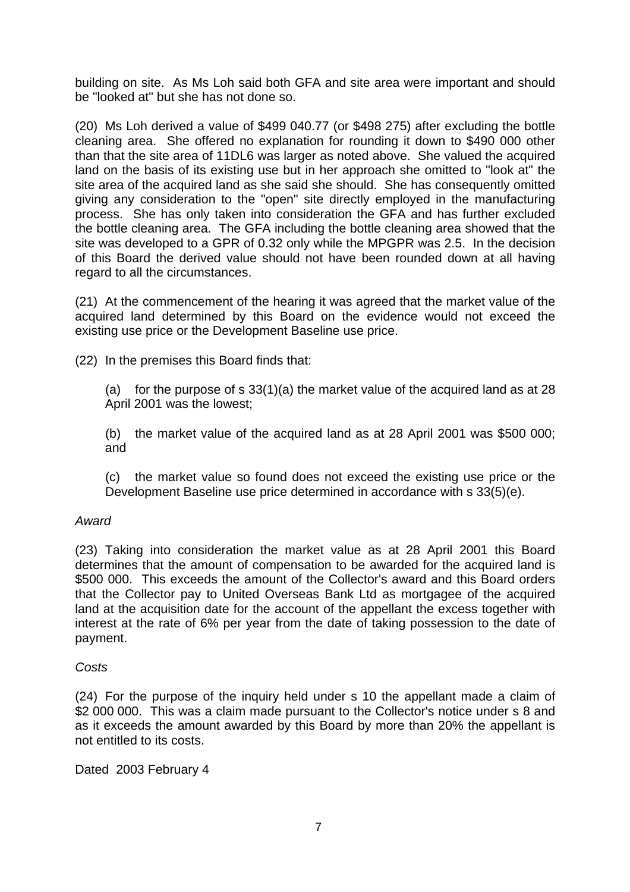building on site. As Ms Loh said both GFA and site area were important and should be "looked at" but she has not done so.

(20) Ms Loh derived a value of \$499 040.77 (or \$498 275) after excluding the bottle cleaning area. She offered no explanation for rounding it down to \$490 000 other than that the site area of 11DL6 was larger as noted above. She valued the acquired land on the basis of its existing use but in her approach she omitted to "look at" the site area of the acquired land as she said she should. She has consequently omitted giving any consideration to the "open" site directly employed in the manufacturing process. She has only taken into consideration the GFA and has further excluded the bottle cleaning area. The GFA including the bottle cleaning area showed that the site was developed to a GPR of 0.32 only while the MPGPR was 2.5. In the decision of this Board the derived value should not have been rounded down at all having regard to all the circumstances.

(21) At the commencement of the hearing it was agreed that the market value of the acquired land determined by this Board on the evidence would not exceed the existing use price or the Development Baseline use price.

(22) In the premises this Board finds that:

(a) for the purpose of s  $33(1)(a)$  the market value of the acquired land as at 28 April 2001 was the lowest;

(b) the market value of the acquired land as at 28 April 2001 was \$500 000; and

(c) the market value so found does not exceed the existing use price or the Development Baseline use price determined in accordance with s 33(5)(e).

## *Award*

(23) Taking into consideration the market value as at 28 April 2001 this Board determines that the amount of compensation to be awarded for the acquired land is \$500 000. This exceeds the amount of the Collector's award and this Board orders that the Collector pay to United Overseas Bank Ltd as mortgagee of the acquired land at the acquisition date for the account of the appellant the excess together with interest at the rate of 6% per year from the date of taking possession to the date of payment.

## *Costs*

(24) For the purpose of the inquiry held under s 10 the appellant made a claim of \$2 000 000. This was a claim made pursuant to the Collector's notice under s 8 and as it exceeds the amount awarded by this Board by more than 20% the appellant is not entitled to its costs.

Dated 2003 February 4